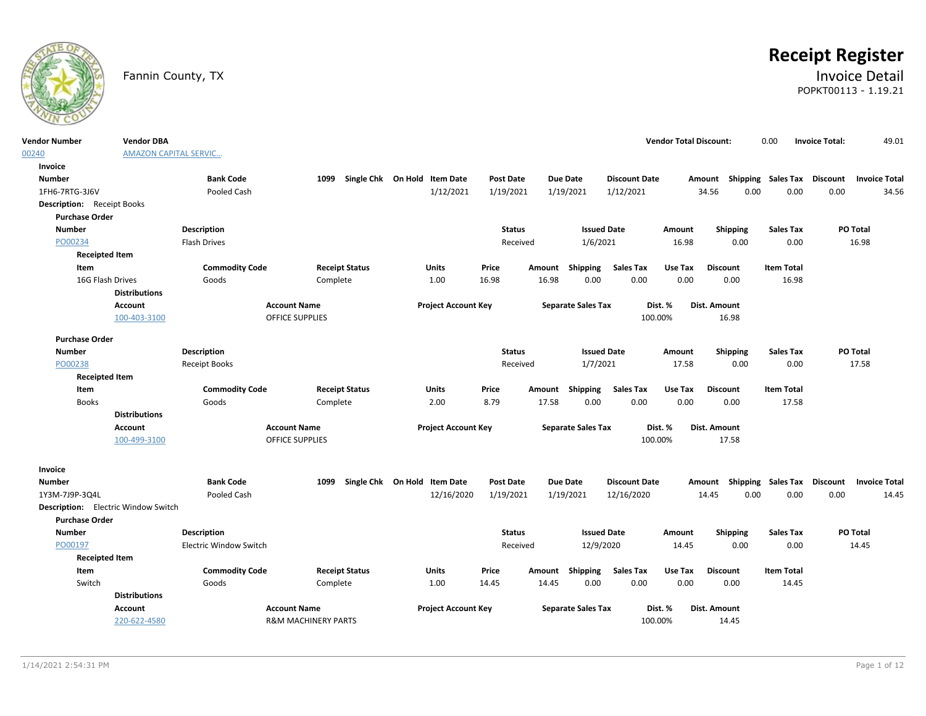

# **Receipt Register**

## Fannin County, TX **Invoice Detail** POPKT00113 - 1.19.21

| <b>Vendor Number</b><br><b>Vendor DBA</b>  |                               |                                |                              |                  |        |                           |                      | <b>Vendor Total Discount:</b> |                           | 0.00              | <b>Invoice Total:</b> | 49.01                |
|--------------------------------------------|-------------------------------|--------------------------------|------------------------------|------------------|--------|---------------------------|----------------------|-------------------------------|---------------------------|-------------------|-----------------------|----------------------|
| 00240                                      | <b>AMAZON CAPITAL SERVIC</b>  |                                |                              |                  |        |                           |                      |                               |                           |                   |                       |                      |
| Invoice                                    |                               |                                |                              |                  |        |                           |                      |                               |                           |                   |                       |                      |
| <b>Number</b>                              | <b>Bank Code</b>              | 1099                           | Single Chk On Hold Item Date | <b>Post Date</b> |        | <b>Due Date</b>           | <b>Discount Date</b> |                               | Amount Shipping Sales Tax |                   | Discount              | <b>Invoice Total</b> |
| 1FH6-7RTG-3J6V                             | <b>Pooled Cash</b>            |                                | 1/12/2021                    | 1/19/2021        |        | 1/19/2021                 | 1/12/2021            |                               | 34.56<br>0.00             | 0.00              | 0.00                  | 34.56                |
| <b>Description:</b> Receipt Books          |                               |                                |                              |                  |        |                           |                      |                               |                           |                   |                       |                      |
| <b>Purchase Order</b>                      |                               |                                |                              |                  |        |                           |                      |                               |                           |                   |                       |                      |
| <b>Number</b>                              | Description                   |                                |                              | <b>Status</b>    |        | <b>Issued Date</b>        |                      | Amount                        | Shipping                  | <b>Sales Tax</b>  |                       | PO Total             |
| PO00234                                    | Flash Drives                  |                                |                              | Received         |        | 1/6/2021                  |                      | 16.98                         | 0.00                      | 0.00              |                       | 16.98                |
| <b>Receipted Item</b>                      |                               |                                |                              |                  |        |                           |                      |                               |                           |                   |                       |                      |
| Item                                       | <b>Commodity Code</b>         | <b>Receipt Status</b>          | <b>Units</b>                 | Price            | Amount | <b>Shipping</b>           | <b>Sales Tax</b>     | Use Tax                       | <b>Discount</b>           | <b>Item Total</b> |                       |                      |
| 16G Flash Drives                           | Goods                         | Complete                       | 1.00                         | 16.98            | 16.98  | 0.00                      | 0.00                 | 0.00                          | 0.00                      | 16.98             |                       |                      |
| <b>Distributions</b>                       |                               |                                |                              |                  |        |                           |                      |                               |                           |                   |                       |                      |
| Account                                    |                               | <b>Account Name</b>            | <b>Project Account Key</b>   |                  |        | <b>Separate Sales Tax</b> |                      | Dist. %                       | Dist. Amount              |                   |                       |                      |
| 100-403-3100                               |                               | <b>OFFICE SUPPLIES</b>         |                              |                  |        |                           |                      | 100.00%                       | 16.98                     |                   |                       |                      |
| <b>Purchase Order</b>                      |                               |                                |                              |                  |        |                           |                      |                               |                           |                   |                       |                      |
| <b>Number</b>                              | <b>Description</b>            |                                |                              | <b>Status</b>    |        | <b>Issued Date</b>        |                      | Amount                        | Shipping                  | <b>Sales Tax</b>  |                       | PO Total             |
| PO00238                                    | <b>Receipt Books</b>          |                                |                              | Received         |        | 1/7/2021                  |                      | 17.58                         | 0.00                      | 0.00              |                       | 17.58                |
| <b>Receipted Item</b>                      |                               |                                |                              |                  |        |                           |                      |                               |                           |                   |                       |                      |
| Item                                       | <b>Commodity Code</b>         | <b>Receipt Status</b>          | <b>Units</b>                 | Price            | Amount | Shipping                  | <b>Sales Tax</b>     | Use Tax                       | <b>Discount</b>           | <b>Item Total</b> |                       |                      |
| <b>Books</b>                               | Goods                         | Complete                       | 2.00                         | 8.79             | 17.58  | 0.00                      | 0.00                 | 0.00                          | 0.00                      | 17.58             |                       |                      |
| <b>Distributions</b>                       |                               |                                |                              |                  |        |                           |                      |                               |                           |                   |                       |                      |
| Account                                    |                               | <b>Account Name</b>            | <b>Project Account Key</b>   |                  |        | <b>Separate Sales Tax</b> |                      | Dist. %                       | Dist. Amount              |                   |                       |                      |
| 100-499-3100                               |                               | OFFICE SUPPLIES                |                              |                  |        |                           | 100.00%              |                               | 17.58                     |                   |                       |                      |
|                                            |                               |                                |                              |                  |        |                           |                      |                               |                           |                   |                       |                      |
| Invoice                                    |                               |                                |                              |                  |        |                           |                      |                               |                           |                   |                       |                      |
| <b>Number</b>                              | <b>Bank Code</b>              | 1099                           | Single Chk On Hold Item Date | <b>Post Date</b> |        | <b>Due Date</b>           | <b>Discount Date</b> |                               | Amount Shipping Sales Tax |                   | Discount              | <b>Invoice Total</b> |
| 1Y3M-7J9P-3Q4L                             | Pooled Cash                   |                                | 12/16/2020                   | 1/19/2021        |        | 1/19/2021                 | 12/16/2020           |                               | 0.00<br>14.45             | 0.00              | 0.00                  | 14.45                |
| <b>Description:</b> Electric Window Switch |                               |                                |                              |                  |        |                           |                      |                               |                           |                   |                       |                      |
| <b>Purchase Order</b>                      |                               |                                |                              |                  |        |                           |                      |                               |                           |                   |                       |                      |
| <b>Number</b>                              | <b>Description</b>            |                                |                              | <b>Status</b>    |        | <b>Issued Date</b>        |                      | Amount                        | Shipping                  | <b>Sales Tax</b>  |                       | PO Total             |
| PO00197                                    | <b>Electric Window Switch</b> |                                |                              | Received         |        | 12/9/2020                 |                      | 14.45                         | 0.00                      | 0.00              |                       | 14.45                |
| <b>Receipted Item</b>                      |                               |                                |                              |                  |        |                           |                      |                               |                           |                   |                       |                      |
| Item                                       | <b>Commodity Code</b>         | <b>Receipt Status</b>          | <b>Units</b>                 | Price            | Amount | <b>Shipping</b>           | <b>Sales Tax</b>     | Use Tax                       | <b>Discount</b>           | <b>Item Total</b> |                       |                      |
| Switch                                     | Goods                         | Complete                       | 1.00                         | 14.45            | 14.45  | 0.00                      | 0.00                 | 0.00                          | 0.00                      | 14.45             |                       |                      |
| <b>Distributions</b>                       |                               |                                |                              |                  |        |                           |                      |                               |                           |                   |                       |                      |
| Account                                    |                               | <b>Account Name</b>            | <b>Project Account Key</b>   |                  |        | <b>Separate Sales Tax</b> |                      | Dist. %                       | <b>Dist. Amount</b>       |                   |                       |                      |
| 220-622-4580                               |                               | <b>R&amp;M MACHINERY PARTS</b> |                              |                  |        |                           |                      | 100.00%                       | 14.45                     |                   |                       |                      |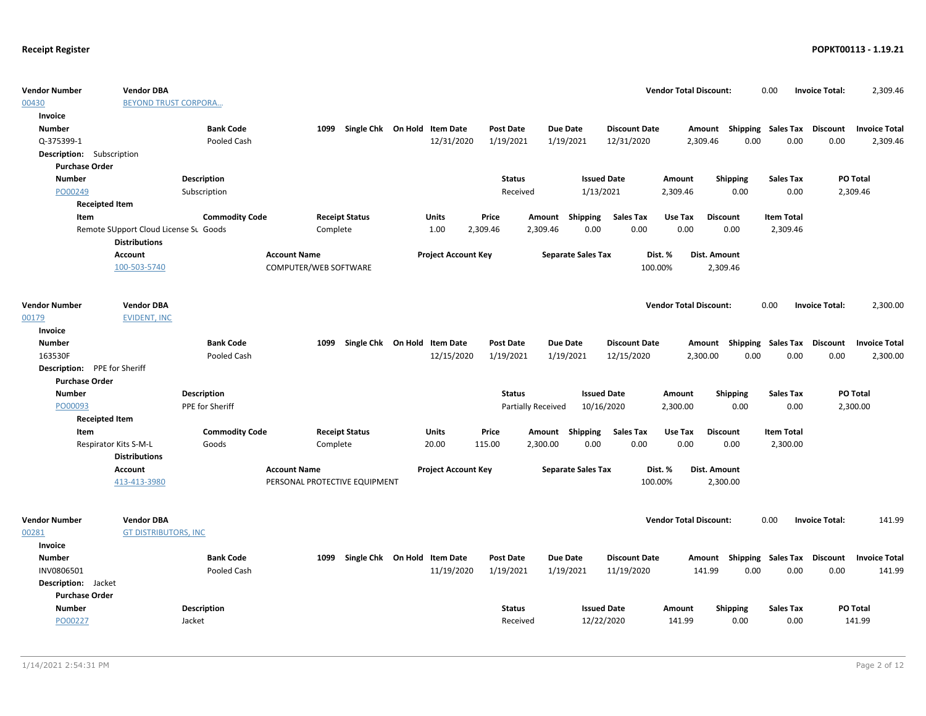| Vendor Number<br>00430 | <b>Vendor DBA</b><br><b>BEYOND TRUST CORPORA</b> |                       |                               |                              |                  |                           |                      | <b>Vendor Total Discount:</b> | 0.00                               |                   | 2,309.46<br><b>Invoice Total:</b> |
|------------------------|--------------------------------------------------|-----------------------|-------------------------------|------------------------------|------------------|---------------------------|----------------------|-------------------------------|------------------------------------|-------------------|-----------------------------------|
| Invoice                |                                                  |                       |                               |                              |                  |                           |                      |                               |                                    |                   |                                   |
| <b>Number</b>          |                                                  | <b>Bank Code</b>      | 1099                          | Single Chk On Hold Item Date | <b>Post Date</b> | <b>Due Date</b>           | <b>Discount Date</b> |                               | Amount Shipping Sales Tax Discount |                   | <b>Invoice Total</b>              |
| Q-375399-1             |                                                  | Pooled Cash           |                               | 12/31/2020                   | 1/19/2021        | 1/19/2021                 | 12/31/2020           | 2,309.46                      | 0.00                               | 0.00              | 0.00<br>2,309.46                  |
|                        | Description: Subscription                        |                       |                               |                              |                  |                           |                      |                               |                                    |                   |                                   |
| <b>Purchase Order</b>  |                                                  |                       |                               |                              |                  |                           |                      |                               |                                    |                   |                                   |
| <b>Number</b>          |                                                  | <b>Description</b>    |                               |                              | <b>Status</b>    |                           | <b>Issued Date</b>   | Amount                        | <b>Shipping</b>                    | <b>Sales Tax</b>  | PO Total                          |
| PO00249                |                                                  | Subscription          |                               |                              | Received         |                           | 1/13/2021            | 2,309.46                      | 0.00                               | 0.00              | 2,309.46                          |
|                        | <b>Receipted Item</b>                            |                       |                               |                              |                  |                           |                      |                               |                                    |                   |                                   |
| Item                   |                                                  | <b>Commodity Code</b> | <b>Receipt Status</b>         | Units                        | Price            | Amount<br>Shipping        | <b>Sales Tax</b>     | Use Tax                       | <b>Discount</b>                    | <b>Item Total</b> |                                   |
|                        | Remote SUpport Cloud License Su Goods            |                       | Complete                      | 1.00                         | 2,309.46         | 0.00<br>2,309.46          | 0.00                 | 0.00                          | 0.00                               | 2,309.46          |                                   |
|                        | <b>Distributions</b>                             |                       |                               |                              |                  |                           |                      |                               |                                    |                   |                                   |
|                        | Account                                          |                       | <b>Account Name</b>           | <b>Project Account Key</b>   |                  | <b>Separate Sales Tax</b> |                      | Dist. %<br>Dist. Amount       |                                    |                   |                                   |
|                        | 100-503-5740                                     |                       | COMPUTER/WEB SOFTWARE         |                              |                  |                           |                      | 100.00%                       | 2,309.46                           |                   |                                   |
|                        |                                                  |                       |                               |                              |                  |                           |                      |                               |                                    |                   |                                   |
| <b>Vendor Number</b>   | <b>Vendor DBA</b>                                |                       |                               |                              |                  |                           |                      | <b>Vendor Total Discount:</b> | 0.00                               |                   | <b>Invoice Total:</b><br>2,300.00 |
| 00179                  | <b>EVIDENT, INC</b>                              |                       |                               |                              |                  |                           |                      |                               |                                    |                   |                                   |
| Invoice                |                                                  |                       |                               |                              |                  |                           |                      |                               |                                    |                   |                                   |
| <b>Number</b>          |                                                  | <b>Bank Code</b>      | 1099                          | Single Chk On Hold Item Date | <b>Post Date</b> | <b>Due Date</b>           | <b>Discount Date</b> |                               | Amount Shipping Sales Tax          |                   | Discount<br><b>Invoice Total</b>  |
| 163530F                |                                                  | Pooled Cash           |                               | 12/15/2020                   | 1/19/2021        | 1/19/2021                 | 12/15/2020           | 2,300.00                      | 0.00                               | 0.00              | 0.00<br>2,300.00                  |
|                        | Description: PPE for Sheriff                     |                       |                               |                              |                  |                           |                      |                               |                                    |                   |                                   |
| <b>Purchase Order</b>  |                                                  |                       |                               |                              |                  |                           |                      |                               |                                    |                   |                                   |
| <b>Number</b>          |                                                  | <b>Description</b>    |                               |                              | <b>Status</b>    |                           | <b>Issued Date</b>   | Amount                        | <b>Shipping</b>                    | <b>Sales Tax</b>  | PO Total                          |
| PO00093                |                                                  | PPE for Sheriff       |                               |                              |                  | Partially Received        | 10/16/2020           | 2,300.00                      | 0.00                               | 0.00              | 2,300.00                          |
|                        | <b>Receipted Item</b>                            |                       |                               |                              |                  |                           |                      |                               |                                    |                   |                                   |
| Item                   |                                                  | <b>Commodity Code</b> | <b>Receipt Status</b>         | Units                        | Price            | Amount Shipping           | <b>Sales Tax</b>     | Use Tax                       | <b>Discount</b>                    | <b>Item Total</b> |                                   |
|                        | Respirator Kits S-M-L                            | Goods                 | Complete                      | 20.00                        | 115.00           | 2,300.00<br>0.00          | 0.00                 | 0.00                          | 0.00                               | 2,300.00          |                                   |
|                        | <b>Distributions</b>                             |                       |                               |                              |                  |                           |                      |                               |                                    |                   |                                   |
|                        | Account                                          |                       | <b>Account Name</b>           | <b>Project Account Key</b>   |                  | <b>Separate Sales Tax</b> |                      | Dist. %<br>Dist. Amount       |                                    |                   |                                   |
|                        | 413-413-3980                                     |                       | PERSONAL PROTECTIVE EQUIPMENT |                              |                  |                           |                      | 100.00%                       | 2,300.00                           |                   |                                   |
|                        |                                                  |                       |                               |                              |                  |                           |                      |                               |                                    |                   |                                   |
| Vendor Number          | <b>Vendor DBA</b>                                |                       |                               |                              |                  |                           |                      | <b>Vendor Total Discount:</b> | 0.00                               |                   | <b>Invoice Total:</b><br>141.99   |
| 00281                  | <b>GT DISTRIBUTORS, INC</b>                      |                       |                               |                              |                  |                           |                      |                               |                                    |                   |                                   |
| Invoice                |                                                  |                       |                               |                              |                  |                           |                      |                               |                                    |                   |                                   |
| <b>Number</b>          |                                                  | <b>Bank Code</b>      | 1099                          | Single Chk On Hold Item Date | <b>Post Date</b> | Due Date                  | <b>Discount Date</b> |                               | Amount Shipping Sales Tax          |                   | Discount<br><b>Invoice Total</b>  |
| INV0806501             |                                                  | Pooled Cash           |                               | 11/19/2020                   | 1/19/2021        | 1/19/2021                 | 11/19/2020           | 141.99                        | 0.00                               | 0.00              | 0.00<br>141.99                    |
| Description: Jacket    |                                                  |                       |                               |                              |                  |                           |                      |                               |                                    |                   |                                   |
| <b>Purchase Order</b>  |                                                  |                       |                               |                              |                  |                           |                      |                               |                                    |                   |                                   |
| <b>Number</b>          |                                                  | <b>Description</b>    |                               |                              | Status           |                           | <b>Issued Date</b>   | Amount                        | <b>Shipping</b>                    | <b>Sales Tax</b>  | PO Total                          |
| PO00227                |                                                  | Jacket                |                               |                              | Received         |                           | 12/22/2020           | 141.99                        | 0.00                               | 0.00              | 141.99                            |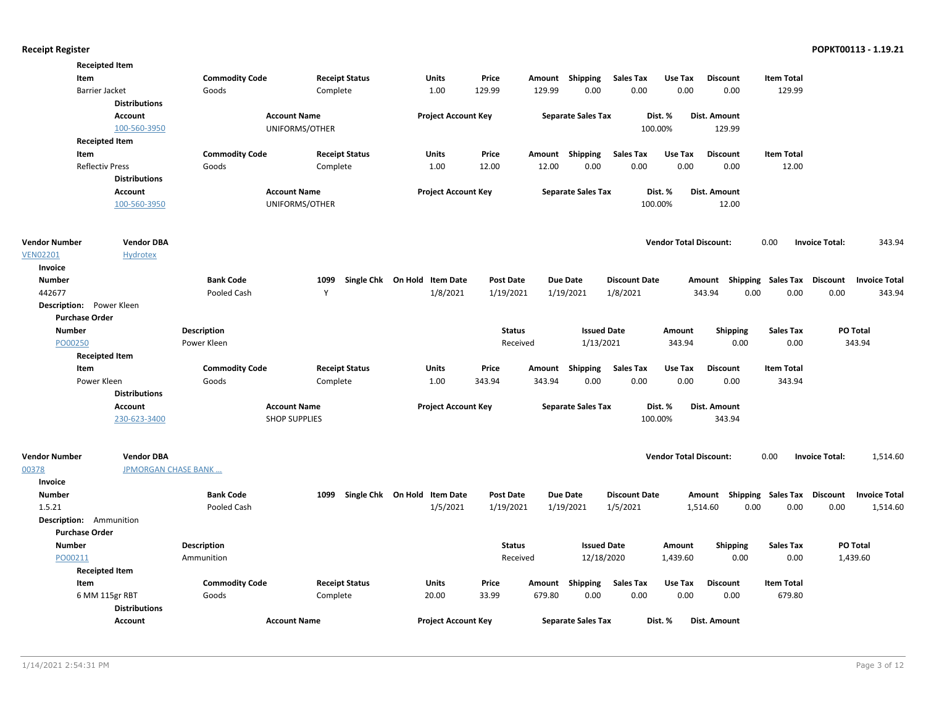|                      | <b>Receipted Item</b>          |                       |                       |                              |                  |        |                           |                      |                               |                                    |                   |                       |                      |
|----------------------|--------------------------------|-----------------------|-----------------------|------------------------------|------------------|--------|---------------------------|----------------------|-------------------------------|------------------------------------|-------------------|-----------------------|----------------------|
|                      | Item                           | <b>Commodity Code</b> | <b>Receipt Status</b> | Units                        | Price            |        | Amount Shipping           | <b>Sales Tax</b>     | Use Tax                       | <b>Discount</b>                    | <b>Item Total</b> |                       |                      |
|                      | <b>Barrier Jacket</b>          | Goods                 | Complete              | 1.00                         | 129.99           | 129.99 | 0.00                      | 0.00                 | 0.00                          | 0.00                               | 129.99            |                       |                      |
|                      | <b>Distributions</b>           |                       |                       |                              |                  |        |                           |                      |                               |                                    |                   |                       |                      |
|                      | Account                        |                       | <b>Account Name</b>   | <b>Project Account Key</b>   |                  |        | <b>Separate Sales Tax</b> |                      | Dist. %                       | Dist. Amount                       |                   |                       |                      |
|                      | 100-560-3950                   |                       | UNIFORMS/OTHER        |                              |                  |        |                           | 100.00%              |                               | 129.99                             |                   |                       |                      |
|                      | <b>Receipted Item</b>          |                       |                       |                              |                  |        |                           |                      |                               |                                    |                   |                       |                      |
|                      | Item                           | <b>Commodity Code</b> | <b>Receipt Status</b> | <b>Units</b>                 | Price            |        | Amount Shipping           | <b>Sales Tax</b>     | Use Tax                       | <b>Discount</b>                    | <b>Item Total</b> |                       |                      |
|                      | <b>Reflectiv Press</b>         | Goods                 | Complete              | 1.00                         | 12.00            | 12.00  | 0.00                      | 0.00                 | 0.00                          | 0.00                               | 12.00             |                       |                      |
|                      | <b>Distributions</b>           |                       |                       |                              |                  |        |                           |                      |                               |                                    |                   |                       |                      |
|                      | <b>Account</b>                 |                       | <b>Account Name</b>   | <b>Project Account Key</b>   |                  |        | <b>Separate Sales Tax</b> |                      | Dist. %                       | Dist. Amount                       |                   |                       |                      |
|                      | 100-560-3950                   |                       | UNIFORMS/OTHER        |                              |                  |        |                           | 100.00%              |                               | 12.00                              |                   |                       |                      |
|                      |                                |                       |                       |                              |                  |        |                           |                      |                               |                                    |                   |                       |                      |
| <b>Vendor Number</b> | <b>Vendor DBA</b>              |                       |                       |                              |                  |        |                           |                      | <b>Vendor Total Discount:</b> |                                    | 0.00              | <b>Invoice Total:</b> | 343.94               |
| <b>VEN02201</b>      | <b>Hydrotex</b>                |                       |                       |                              |                  |        |                           |                      |                               |                                    |                   |                       |                      |
| Invoice              |                                |                       |                       |                              |                  |        |                           |                      |                               |                                    |                   |                       |                      |
| <b>Number</b>        |                                | <b>Bank Code</b>      | 1099                  | Single Chk On Hold Item Date | <b>Post Date</b> |        | <b>Due Date</b>           | <b>Discount Date</b> |                               | Amount Shipping Sales Tax Discount |                   |                       | <b>Invoice Total</b> |
| 442677               |                                | Pooled Cash           | Y                     | 1/8/2021                     | 1/19/2021        |        | 1/19/2021                 | 1/8/2021             |                               | 343.94<br>0.00                     | 0.00              | 0.00                  | 343.94               |
|                      | Description: Power Kleen       |                       |                       |                              |                  |        |                           |                      |                               |                                    |                   |                       |                      |
|                      | <b>Purchase Order</b>          |                       |                       |                              |                  |        |                           |                      |                               |                                    |                   |                       |                      |
| <b>Number</b>        |                                | <b>Description</b>    |                       |                              | <b>Status</b>    |        | <b>Issued Date</b>        |                      | Amount                        | <b>Shipping</b>                    | <b>Sales Tax</b>  |                       | PO Total             |
| PO00250              |                                | Power Kleen           |                       |                              | Received         |        | 1/13/2021                 |                      | 343.94                        | 0.00                               | 0.00              |                       | 343.94               |
|                      | <b>Receipted Item</b>          |                       |                       |                              |                  |        |                           |                      |                               |                                    |                   |                       |                      |
|                      | Item                           | <b>Commodity Code</b> | <b>Receipt Status</b> | <b>Units</b>                 | Price            |        | Amount Shipping           | <b>Sales Tax</b>     | Use Tax                       | <b>Discount</b>                    | <b>Item Total</b> |                       |                      |
|                      | Power Kleen                    | Goods                 | Complete              | 1.00                         | 343.94           | 343.94 | 0.00                      | 0.00                 | 0.00                          | 0.00                               | 343.94            |                       |                      |
|                      | <b>Distributions</b>           |                       |                       |                              |                  |        |                           |                      |                               |                                    |                   |                       |                      |
|                      | <b>Account</b>                 |                       | <b>Account Name</b>   | <b>Project Account Key</b>   |                  |        | <b>Separate Sales Tax</b> |                      | Dist. %                       | Dist. Amount                       |                   |                       |                      |
|                      | 230-623-3400                   |                       | <b>SHOP SUPPLIES</b>  |                              |                  |        |                           | 100.00%              |                               | 343.94                             |                   |                       |                      |
|                      |                                |                       |                       |                              |                  |        |                           |                      |                               |                                    |                   |                       |                      |
| <b>Vendor Number</b> | <b>Vendor DBA</b>              |                       |                       |                              |                  |        |                           |                      | <b>Vendor Total Discount:</b> |                                    | 0.00              | <b>Invoice Total:</b> | 1,514.60             |
| 00378                | <b>JPMORGAN CHASE BANK </b>    |                       |                       |                              |                  |        |                           |                      |                               |                                    |                   |                       |                      |
| Invoice              |                                |                       |                       |                              |                  |        |                           |                      |                               |                                    |                   |                       |                      |
| <b>Number</b>        |                                | <b>Bank Code</b>      | 1099                  | Single Chk On Hold Item Date | <b>Post Date</b> |        | <b>Due Date</b>           | <b>Discount Date</b> |                               | Amount Shipping Sales Tax          |                   | <b>Discount</b>       | <b>Invoice Total</b> |
| 1.5.21               |                                | Pooled Cash           |                       | 1/5/2021                     | 1/19/2021        |        | 1/19/2021                 | 1/5/2021             |                               | 1,514.60<br>0.00                   | 0.00              | 0.00                  | 1,514.60             |
|                      | <b>Description:</b> Ammunition |                       |                       |                              |                  |        |                           |                      |                               |                                    |                   |                       |                      |
|                      | <b>Purchase Order</b>          |                       |                       |                              |                  |        |                           |                      |                               |                                    |                   |                       |                      |
| <b>Number</b>        |                                | <b>Description</b>    |                       |                              | <b>Status</b>    |        | <b>Issued Date</b>        |                      | Amount                        | <b>Shipping</b>                    | <b>Sales Tax</b>  |                       | PO Total             |
| PO00211              |                                | Ammunition            |                       |                              | Received         |        | 12/18/2020                |                      | 1,439.60                      | 0.00                               | 0.00              |                       | 1,439.60             |
|                      | <b>Receipted Item</b>          |                       |                       |                              |                  |        |                           |                      |                               |                                    |                   |                       |                      |
|                      | Item                           | <b>Commodity Code</b> | <b>Receipt Status</b> | Units                        | Price            |        | Amount Shipping           | <b>Sales Tax</b>     | Use Tax                       | <b>Discount</b>                    | <b>Item Total</b> |                       |                      |
|                      | 6 MM 115gr RBT                 | Goods                 | Complete              | 20.00                        | 33.99            | 679.80 | 0.00                      | 0.00                 | 0.00                          | 0.00                               | 679.80            |                       |                      |
|                      | <b>Distributions</b>           |                       |                       |                              |                  |        |                           |                      |                               |                                    |                   |                       |                      |
|                      | Account                        |                       | <b>Account Name</b>   | <b>Project Account Key</b>   |                  |        | <b>Separate Sales Tax</b> |                      | Dist. %                       | Dist. Amount                       |                   |                       |                      |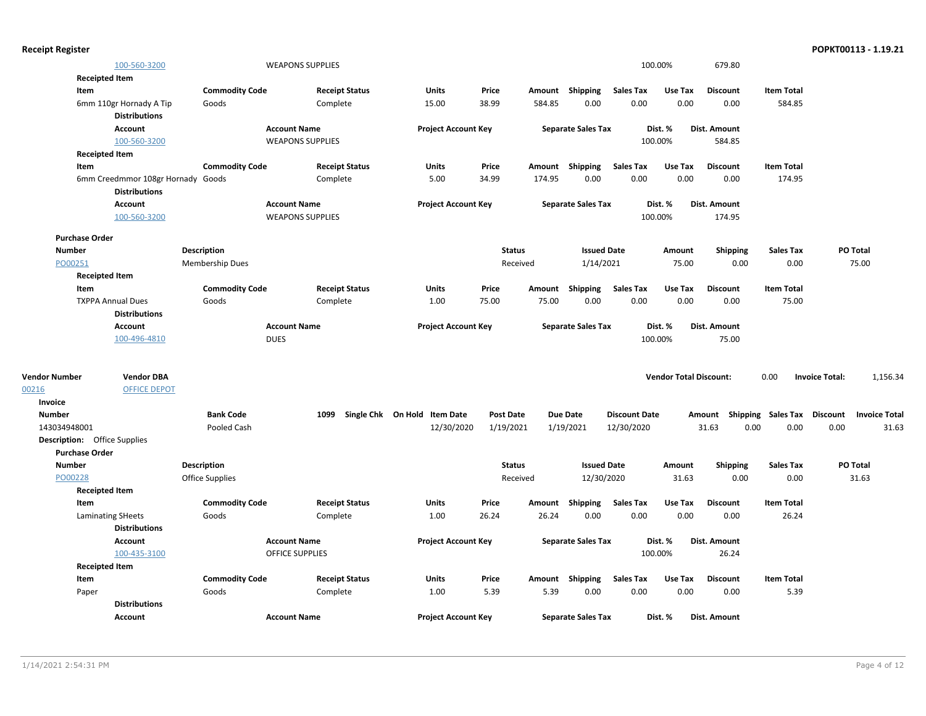| <b>Receipt Register</b>             |                                   |                        |                         |                       |                                   |                  |          |                           |                      |                               |                 |                   | POPKT00113 - 1.19.21                       |
|-------------------------------------|-----------------------------------|------------------------|-------------------------|-----------------------|-----------------------------------|------------------|----------|---------------------------|----------------------|-------------------------------|-----------------|-------------------|--------------------------------------------|
|                                     | 100-560-3200                      |                        | <b>WEAPONS SUPPLIES</b> |                       |                                   |                  |          |                           |                      | 100.00%                       | 679.80          |                   |                                            |
| <b>Receipted Item</b>               |                                   |                        |                         |                       |                                   |                  |          |                           |                      |                               |                 |                   |                                            |
| Item                                |                                   | <b>Commodity Code</b>  |                         | <b>Receipt Status</b> | <b>Units</b>                      | Price            |          | Amount Shipping           | Sales Tax            | Use Tax                       | <b>Discount</b> | <b>Item Total</b> |                                            |
|                                     | 6mm 110gr Hornady A Tip           | Goods                  |                         | Complete              | 15.00                             | 38.99            | 584.85   | 0.00                      | 0.00                 | 0.00                          | 0.00            | 584.85            |                                            |
|                                     | <b>Distributions</b>              |                        |                         |                       |                                   |                  |          |                           |                      |                               |                 |                   |                                            |
|                                     | Account                           |                        | <b>Account Name</b>     |                       | <b>Project Account Key</b>        |                  |          | <b>Separate Sales Tax</b> |                      | Dist. %                       | Dist. Amount    |                   |                                            |
|                                     | 100-560-3200                      |                        | <b>WEAPONS SUPPLIES</b> |                       |                                   |                  |          |                           |                      | 100.00%                       | 584.85          |                   |                                            |
| <b>Receipted Item</b>               |                                   |                        |                         |                       |                                   |                  |          |                           |                      |                               |                 |                   |                                            |
| Item                                |                                   | <b>Commodity Code</b>  |                         | <b>Receipt Status</b> | <b>Units</b>                      | Price            |          | Amount Shipping           | Sales Tax            | Use Tax                       | <b>Discount</b> | <b>Item Total</b> |                                            |
|                                     | 6mm Creedmmor 108gr Hornady Goods |                        |                         | Complete              | 5.00                              | 34.99            | 174.95   | 0.00                      | 0.00                 | 0.00                          | 0.00            | 174.95            |                                            |
|                                     | <b>Distributions</b>              |                        |                         |                       |                                   |                  |          |                           |                      |                               |                 |                   |                                            |
|                                     | <b>Account</b>                    |                        | <b>Account Name</b>     |                       | <b>Project Account Key</b>        |                  |          | <b>Separate Sales Tax</b> |                      | Dist. %                       | Dist. Amount    |                   |                                            |
|                                     | 100-560-3200                      |                        | <b>WEAPONS SUPPLIES</b> |                       |                                   |                  |          |                           |                      | 100.00%                       | 174.95          |                   |                                            |
| <b>Purchase Order</b>               |                                   |                        |                         |                       |                                   |                  |          |                           |                      |                               |                 |                   |                                            |
| <b>Number</b>                       |                                   | <b>Description</b>     |                         |                       |                                   | <b>Status</b>    |          | <b>Issued Date</b>        |                      | Amount                        | <b>Shipping</b> | <b>Sales Tax</b>  | PO Total                                   |
| PO00251                             |                                   | <b>Membership Dues</b> |                         |                       |                                   |                  | Received | 1/14/2021                 |                      | 75.00                         | 0.00            | 0.00              | 75.00                                      |
| <b>Receipted Item</b>               |                                   |                        |                         |                       |                                   |                  |          |                           |                      |                               |                 |                   |                                            |
| Item                                |                                   | <b>Commodity Code</b>  |                         | <b>Receipt Status</b> | <b>Units</b>                      | Price            | Amount   | Shipping                  | <b>Sales Tax</b>     | Use Tax                       | <b>Discount</b> | <b>Item Total</b> |                                            |
|                                     | <b>TXPPA Annual Dues</b>          | Goods                  |                         | Complete              | 1.00                              | 75.00            | 75.00    | 0.00                      | 0.00                 | 0.00                          | 0.00            | 75.00             |                                            |
|                                     | <b>Distributions</b>              |                        |                         |                       |                                   |                  |          |                           |                      |                               |                 |                   |                                            |
|                                     | Account                           |                        | <b>Account Name</b>     |                       | <b>Project Account Key</b>        |                  |          | <b>Separate Sales Tax</b> |                      | Dist. %                       | Dist. Amount    |                   |                                            |
|                                     | 100-496-4810                      |                        | <b>DUES</b>             |                       |                                   |                  |          |                           |                      | 100.00%                       | 75.00           |                   |                                            |
|                                     |                                   |                        |                         |                       |                                   |                  |          |                           |                      |                               |                 |                   |                                            |
| <b>Vendor Number</b>                | <b>Vendor DBA</b>                 |                        |                         |                       |                                   |                  |          |                           |                      | <b>Vendor Total Discount:</b> |                 | 0.00              | <b>Invoice Total:</b><br>1,156.34          |
| 00216                               | <b>OFFICE DEPOT</b>               |                        |                         |                       |                                   |                  |          |                           |                      |                               |                 |                   |                                            |
| Invoice                             |                                   |                        |                         |                       |                                   |                  |          |                           |                      |                               |                 |                   |                                            |
| <b>Number</b>                       |                                   | <b>Bank Code</b>       |                         |                       | 1099 Single Chk On Hold Item Date | <b>Post Date</b> |          | <b>Due Date</b>           | <b>Discount Date</b> |                               | Amount Shipping |                   | Sales Tax Discount<br><b>Invoice Total</b> |
| 143034948001                        |                                   | Pooled Cash            |                         |                       | 12/30/2020                        | 1/19/2021        |          | 1/19/2021                 | 12/30/2020           |                               | 31.63           | 0.00<br>0.00      | 0.00<br>31.63                              |
| <b>Description:</b> Office Supplies |                                   |                        |                         |                       |                                   |                  |          |                           |                      |                               |                 |                   |                                            |
| <b>Purchase Order</b>               |                                   |                        |                         |                       |                                   |                  |          |                           |                      |                               |                 |                   |                                            |
| <b>Number</b>                       |                                   | <b>Description</b>     |                         |                       |                                   | <b>Status</b>    |          | <b>Issued Date</b>        |                      | Amount                        | Shipping        | <b>Sales Tax</b>  | PO Total                                   |
| PO00228                             |                                   | Office Supplies        |                         |                       |                                   |                  | Received | 12/30/2020                |                      | 31.63                         | 0.00            | 0.00              | 31.63                                      |
| <b>Receipted Item</b>               |                                   |                        |                         |                       |                                   |                  |          |                           |                      |                               |                 |                   |                                            |
| Item                                |                                   | <b>Commodity Code</b>  |                         | <b>Receipt Status</b> | <b>Units</b>                      | Price            |          | Amount Shipping           | <b>Sales Tax</b>     | Use Tax                       | <b>Discount</b> | <b>Item Total</b> |                                            |
|                                     | <b>Laminating SHeets</b>          | Goods                  |                         | Complete              | 1.00                              | 26.24            | 26.24    | 0.00                      | 0.00                 | 0.00                          | 0.00            | 26.24             |                                            |
|                                     | <b>Distributions</b>              |                        |                         |                       |                                   |                  |          |                           |                      |                               |                 |                   |                                            |
|                                     | Account                           |                        | <b>Account Name</b>     |                       | <b>Project Account Key</b>        |                  |          | <b>Separate Sales Tax</b> |                      | Dist. %                       | Dist. Amount    |                   |                                            |
|                                     | 100-435-3100                      |                        | <b>OFFICE SUPPLIES</b>  |                       |                                   |                  |          |                           |                      | 100.00%                       | 26.24           |                   |                                            |
| <b>Receipted Item</b>               |                                   |                        |                         |                       |                                   |                  |          |                           |                      |                               |                 |                   |                                            |
| Item                                |                                   | <b>Commodity Code</b>  |                         | <b>Receipt Status</b> | <b>Units</b>                      | Price            |          | Amount Shipping           | <b>Sales Tax</b>     | Use Tax                       | <b>Discount</b> | <b>Item Total</b> |                                            |
| Paper                               |                                   | Goods                  |                         | Complete              | 1.00                              | 5.39             | 5.39     | 0.00                      | 0.00                 | 0.00                          | 0.00            | 5.39              |                                            |
|                                     | <b>Distributions</b>              |                        |                         |                       |                                   |                  |          |                           |                      |                               |                 |                   |                                            |
|                                     | Account                           |                        | <b>Account Name</b>     |                       | <b>Project Account Key</b>        |                  |          | <b>Separate Sales Tax</b> |                      | Dist. %                       | Dist. Amount    |                   |                                            |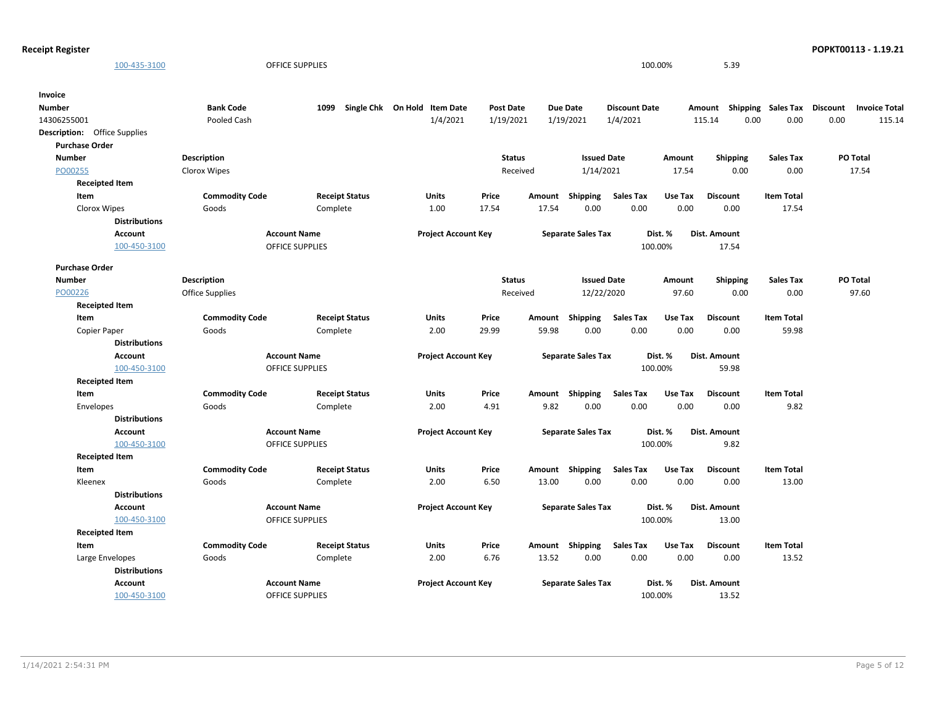| <b>Receipt Register</b>                 |                                 |                                               |                                          |                               |       |                              |                                  |                    |                          |                            | POPKT00113 - 1.19.21                                      |
|-----------------------------------------|---------------------------------|-----------------------------------------------|------------------------------------------|-------------------------------|-------|------------------------------|----------------------------------|--------------------|--------------------------|----------------------------|-----------------------------------------------------------|
| 100-435-3100                            |                                 | <b>OFFICE SUPPLIES</b>                        |                                          |                               |       |                              |                                  | 100.00%            | 5.39                     |                            |                                                           |
| Invoice<br><b>Number</b><br>14306255001 | <b>Bank Code</b><br>Pooled Cash | 1099                                          | Single Chk On Hold Item Date<br>1/4/2021 | <b>Post Date</b><br>1/19/2021 |       | <b>Due Date</b><br>1/19/2021 | <b>Discount Date</b><br>1/4/2021 |                    | Amount<br>115.14<br>0.00 | Shipping Sales Tax<br>0.00 | <b>Discount</b><br><b>Invoice Total</b><br>0.00<br>115.14 |
| Description: Office Supplies            |                                 |                                               |                                          |                               |       |                              |                                  |                    |                          |                            |                                                           |
| <b>Purchase Order</b>                   |                                 |                                               |                                          |                               |       |                              |                                  |                    |                          |                            |                                                           |
| <b>Number</b>                           | <b>Description</b>              |                                               |                                          | <b>Status</b>                 |       | <b>Issued Date</b>           |                                  | Amount             | <b>Shipping</b>          | <b>Sales Tax</b>           | PO Total                                                  |
| PO00255                                 | Clorox Wipes                    |                                               |                                          | Received                      |       | 1/14/2021                    |                                  | 17.54              | 0.00                     | 0.00                       | 17.54                                                     |
| <b>Receipted Item</b>                   |                                 |                                               |                                          |                               |       |                              |                                  |                    |                          |                            |                                                           |
| Item                                    | <b>Commodity Code</b>           | <b>Receipt Status</b>                         | <b>Units</b>                             | Price                         |       | Amount Shipping              | <b>Sales Tax</b>                 | Use Tax            | <b>Discount</b>          | <b>Item Total</b>          |                                                           |
| Clorox Wipes<br><b>Distributions</b>    | Goods                           | Complete                                      | 1.00                                     | 17.54                         | 17.54 | 0.00                         | 0.00                             | 0.00               | 0.00                     | 17.54                      |                                                           |
| Account<br>100-450-3100                 |                                 | <b>Account Name</b><br><b>OFFICE SUPPLIES</b> | <b>Project Account Key</b>               |                               |       | <b>Separate Sales Tax</b>    |                                  | Dist. %<br>100.00% | Dist. Amount<br>17.54    |                            |                                                           |
| <b>Purchase Order</b>                   |                                 |                                               |                                          |                               |       |                              |                                  |                    |                          |                            |                                                           |
| <b>Number</b>                           | Description                     |                                               |                                          | <b>Status</b>                 |       | <b>Issued Date</b>           |                                  | Amount             | <b>Shipping</b>          | <b>Sales Tax</b>           | PO Total                                                  |
| PO00226                                 | <b>Office Supplies</b>          |                                               |                                          | Received                      |       | 12/22/2020                   |                                  | 97.60              | 0.00                     | 0.00                       | 97.60                                                     |
| <b>Receipted Item</b>                   |                                 |                                               |                                          |                               |       |                              |                                  |                    |                          |                            |                                                           |
| Item                                    | <b>Commodity Code</b>           | <b>Receipt Status</b>                         | Units                                    | Price                         |       | Amount Shipping              | <b>Sales Tax</b>                 | Use Tax            | <b>Discount</b>          | <b>Item Total</b>          |                                                           |
| Copier Paper                            | Goods                           | Complete                                      | 2.00                                     | 29.99                         | 59.98 | 0.00                         | 0.00                             | 0.00               | 0.00                     | 59.98                      |                                                           |
| <b>Distributions</b>                    |                                 |                                               |                                          |                               |       |                              |                                  |                    |                          |                            |                                                           |
| Account                                 |                                 | <b>Account Name</b>                           | <b>Project Account Key</b>               |                               |       | <b>Separate Sales Tax</b>    |                                  | Dist. %            | Dist. Amount             |                            |                                                           |
| 100-450-3100                            |                                 | <b>OFFICE SUPPLIES</b>                        |                                          |                               |       |                              |                                  | 100.00%            | 59.98                    |                            |                                                           |
| <b>Receipted Item</b>                   |                                 |                                               |                                          |                               |       |                              |                                  |                    |                          |                            |                                                           |
| Item                                    | <b>Commodity Code</b>           | <b>Receipt Status</b>                         | Units                                    | Price                         |       | Amount Shipping              | <b>Sales Tax</b>                 | Use Tax            | <b>Discount</b>          | <b>Item Total</b>          |                                                           |
| Envelopes                               | Goods                           | Complete                                      | 2.00                                     | 4.91                          | 9.82  | 0.00                         | 0.00                             | 0.00               | 0.00                     | 9.82                       |                                                           |
| <b>Distributions</b>                    |                                 |                                               |                                          |                               |       |                              |                                  |                    |                          |                            |                                                           |
| Account                                 |                                 | <b>Account Name</b>                           | <b>Project Account Key</b>               |                               |       | <b>Separate Sales Tax</b>    |                                  | Dist. %            | Dist. Amount             |                            |                                                           |
| 100-450-3100                            |                                 | OFFICE SUPPLIES                               |                                          |                               |       |                              |                                  | 100.00%            | 9.82                     |                            |                                                           |
| <b>Receipted Item</b>                   |                                 |                                               |                                          |                               |       |                              |                                  |                    |                          |                            |                                                           |
| Item                                    | <b>Commodity Code</b>           | <b>Receipt Status</b>                         | Units                                    | Price                         |       | Amount Shipping              | <b>Sales Tax</b>                 | Use Tax            | <b>Discount</b>          | <b>Item Total</b>          |                                                           |
| Kleenex                                 | Goods                           | Complete                                      | 2.00                                     | 6.50                          | 13.00 | 0.00                         | 0.00                             | 0.00               | 0.00                     | 13.00                      |                                                           |
| <b>Distributions</b>                    |                                 |                                               |                                          |                               |       |                              |                                  |                    |                          |                            |                                                           |
| Account                                 |                                 | <b>Account Name</b>                           | <b>Project Account Key</b>               |                               |       | <b>Separate Sales Tax</b>    |                                  | Dist. %            | Dist. Amount             |                            |                                                           |
| 100-450-3100                            |                                 | <b>OFFICE SUPPLIES</b>                        |                                          |                               |       |                              |                                  | 100.00%            | 13.00                    |                            |                                                           |
| <b>Receipted Item</b>                   |                                 |                                               |                                          |                               |       |                              |                                  |                    |                          |                            |                                                           |
| Item                                    | <b>Commodity Code</b>           | <b>Receipt Status</b>                         | <b>Units</b>                             | Price                         |       | Amount Shipping              | <b>Sales Tax</b>                 | Use Tax            | <b>Discount</b>          | <b>Item Total</b>          |                                                           |
| Large Envelopes                         | Goods                           | Complete                                      | 2.00                                     | 6.76                          | 13.52 | 0.00                         | 0.00                             | 0.00               | 0.00                     | 13.52                      |                                                           |
| <b>Distributions</b>                    |                                 |                                               |                                          |                               |       |                              |                                  |                    |                          |                            |                                                           |
| Account                                 |                                 | <b>Account Name</b>                           | <b>Project Account Key</b>               |                               |       | <b>Separate Sales Tax</b>    |                                  | Dist. %            | Dist. Amount             |                            |                                                           |
| 100-450-3100                            |                                 | <b>OFFICE SUPPLIES</b>                        |                                          |                               |       |                              |                                  | 100.00%            | 13.52                    |                            |                                                           |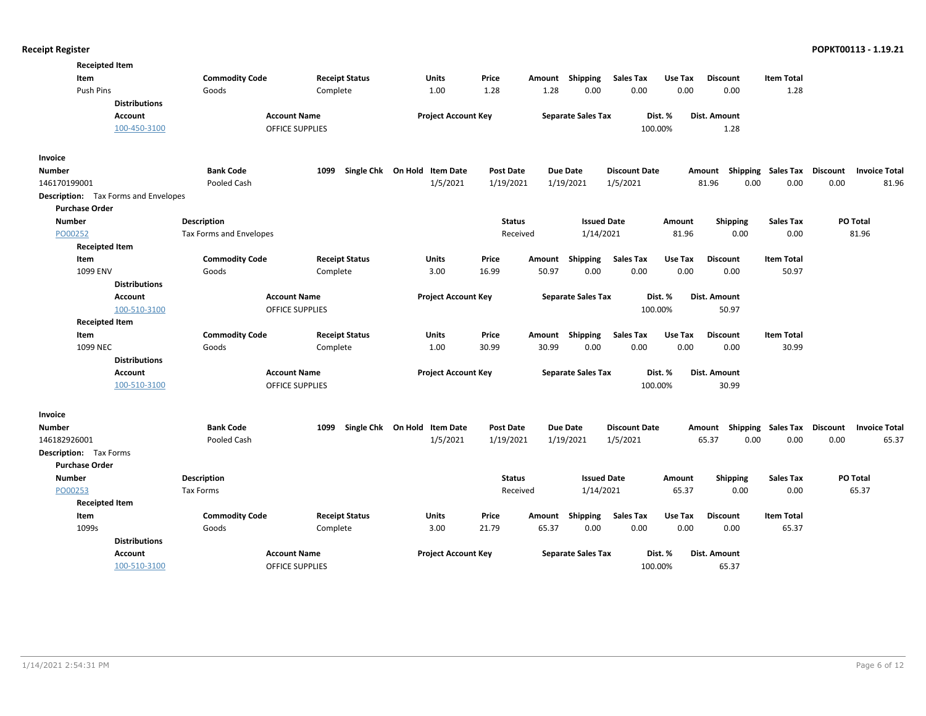| <b>Receipted Item</b>         |                                             |                         |                        |                              |                  |        |                           |                      |         |                           |                    |          |                      |
|-------------------------------|---------------------------------------------|-------------------------|------------------------|------------------------------|------------------|--------|---------------------------|----------------------|---------|---------------------------|--------------------|----------|----------------------|
| Item                          |                                             | <b>Commodity Code</b>   | <b>Receipt Status</b>  | Units                        | Price            | Amount | Shipping                  | <b>Sales Tax</b>     | Use Tax | <b>Discount</b>           | <b>Item Total</b>  |          |                      |
| Push Pins                     |                                             | Goods                   | Complete               | 1.00                         | 1.28             | 1.28   | 0.00                      | 0.00                 | 0.00    | 0.00                      | 1.28               |          |                      |
|                               | <b>Distributions</b>                        |                         |                        |                              |                  |        |                           |                      |         |                           |                    |          |                      |
|                               | <b>Account</b>                              | <b>Account Name</b>     |                        | <b>Project Account Key</b>   |                  |        | <b>Separate Sales Tax</b> |                      | Dist. % | Dist. Amount              |                    |          |                      |
|                               | 100-450-3100                                |                         | OFFICE SUPPLIES        |                              |                  |        |                           | 100.00%              |         | 1.28                      |                    |          |                      |
| Invoice                       |                                             |                         |                        |                              |                  |        |                           |                      |         |                           |                    |          |                      |
| <b>Number</b>                 |                                             | <b>Bank Code</b>        | 1099                   | Single Chk On Hold Item Date | <b>Post Date</b> |        | Due Date                  | <b>Discount Date</b> |         | Amount                    | Shipping Sales Tax | Discount | <b>Invoice Total</b> |
| 146170199001                  |                                             | Pooled Cash             |                        | 1/5/2021                     | 1/19/2021        |        | 1/19/2021                 | 1/5/2021             |         | 81.96<br>0.00             | 0.00               | 0.00     | 81.96                |
|                               | <b>Description:</b> Tax Forms and Envelopes |                         |                        |                              |                  |        |                           |                      |         |                           |                    |          |                      |
| <b>Purchase Order</b>         |                                             |                         |                        |                              |                  |        |                           |                      |         |                           |                    |          |                      |
| <b>Number</b>                 |                                             | <b>Description</b>      |                        |                              | <b>Status</b>    |        | <b>Issued Date</b>        |                      | Amount  | Shipping                  | <b>Sales Tax</b>   |          | PO Total             |
| PO00252                       |                                             | Tax Forms and Envelopes |                        |                              | Received         |        | 1/14/2021                 |                      | 81.96   | 0.00                      | 0.00               |          | 81.96                |
| <b>Receipted Item</b>         |                                             |                         |                        |                              |                  |        |                           |                      |         |                           |                    |          |                      |
| Item                          |                                             | <b>Commodity Code</b>   | <b>Receipt Status</b>  | Units                        | Price            | Amount | <b>Shipping</b>           | <b>Sales Tax</b>     | Use Tax | <b>Discount</b>           | <b>Item Total</b>  |          |                      |
| 1099 ENV                      |                                             | Goods                   | Complete               | 3.00                         | 16.99            | 50.97  | 0.00                      | 0.00                 | 0.00    | 0.00                      | 50.97              |          |                      |
|                               | <b>Distributions</b>                        |                         |                        |                              |                  |        |                           |                      |         |                           |                    |          |                      |
|                               | Account                                     | <b>Account Name</b>     |                        | <b>Project Account Key</b>   |                  |        | <b>Separate Sales Tax</b> |                      | Dist. % | Dist. Amount              |                    |          |                      |
|                               | 100-510-3100                                |                         | <b>OFFICE SUPPLIES</b> |                              |                  |        |                           | 100.00%              |         | 50.97                     |                    |          |                      |
| <b>Receipted Item</b>         |                                             |                         |                        |                              |                  |        |                           |                      |         |                           |                    |          |                      |
| Item                          |                                             | <b>Commodity Code</b>   | <b>Receipt Status</b>  | Units                        | Price            | Amount | Shipping                  | <b>Sales Tax</b>     | Use Tax | <b>Discount</b>           | <b>Item Total</b>  |          |                      |
| 1099 NEC                      |                                             | Goods                   | Complete               | 1.00                         | 30.99            | 30.99  | 0.00                      | 0.00                 | 0.00    | 0.00                      | 30.99              |          |                      |
|                               | <b>Distributions</b>                        |                         |                        |                              |                  |        |                           |                      |         |                           |                    |          |                      |
|                               | Account                                     | <b>Account Name</b>     |                        | <b>Project Account Key</b>   |                  |        | <b>Separate Sales Tax</b> |                      | Dist. % | Dist. Amount              |                    |          |                      |
|                               | 100-510-3100                                |                         | <b>OFFICE SUPPLIES</b> |                              |                  |        |                           | 100.00%              |         | 30.99                     |                    |          |                      |
| Invoice                       |                                             |                         |                        |                              |                  |        |                           |                      |         |                           |                    |          |                      |
| Number                        |                                             | <b>Bank Code</b>        | 1099                   | Single Chk On Hold Item Date | Post Date        |        | <b>Due Date</b>           | <b>Discount Date</b> |         | Amount Shipping Sales Tax |                    | Discount | <b>Invoice Total</b> |
| 146182926001                  |                                             | Pooled Cash             |                        | 1/5/2021                     | 1/19/2021        |        | 1/19/2021                 | 1/5/2021             |         | 65.37<br>0.00             | 0.00               | 0.00     | 65.37                |
| <b>Description:</b> Tax Forms |                                             |                         |                        |                              |                  |        |                           |                      |         |                           |                    |          |                      |
| <b>Purchase Order</b>         |                                             |                         |                        |                              |                  |        |                           |                      |         |                           |                    |          |                      |
| <b>Number</b>                 |                                             | <b>Description</b>      |                        |                              | <b>Status</b>    |        | <b>Issued Date</b>        |                      | Amount  | Shipping                  | <b>Sales Tax</b>   |          | PO Total             |
| PO00253                       |                                             | Tax Forms               |                        |                              | Received         |        | 1/14/2021                 |                      | 65.37   | 0.00                      | 0.00               |          | 65.37                |
| <b>Receipted Item</b>         |                                             |                         |                        |                              |                  |        |                           |                      |         |                           |                    |          |                      |
| Item                          |                                             | <b>Commodity Code</b>   | <b>Receipt Status</b>  | Units                        | Price            | Amount | Shipping                  | Sales Tax            | Use Tax | <b>Discount</b>           | <b>Item Total</b>  |          |                      |
| 1099s                         |                                             | Goods                   | Complete               | 3.00                         | 21.79            | 65.37  | 0.00                      | 0.00                 | 0.00    | 0.00                      | 65.37              |          |                      |
|                               | <b>Distributions</b>                        |                         |                        |                              |                  |        |                           |                      |         |                           |                    |          |                      |
|                               | Account                                     | <b>Account Name</b>     |                        | <b>Project Account Key</b>   |                  |        | <b>Separate Sales Tax</b> |                      | Dist. % | <b>Dist. Amount</b>       |                    |          |                      |
|                               | 100-510-3100                                |                         | <b>OFFICE SUPPLIES</b> |                              |                  |        |                           | 100.00%              |         | 65.37                     |                    |          |                      |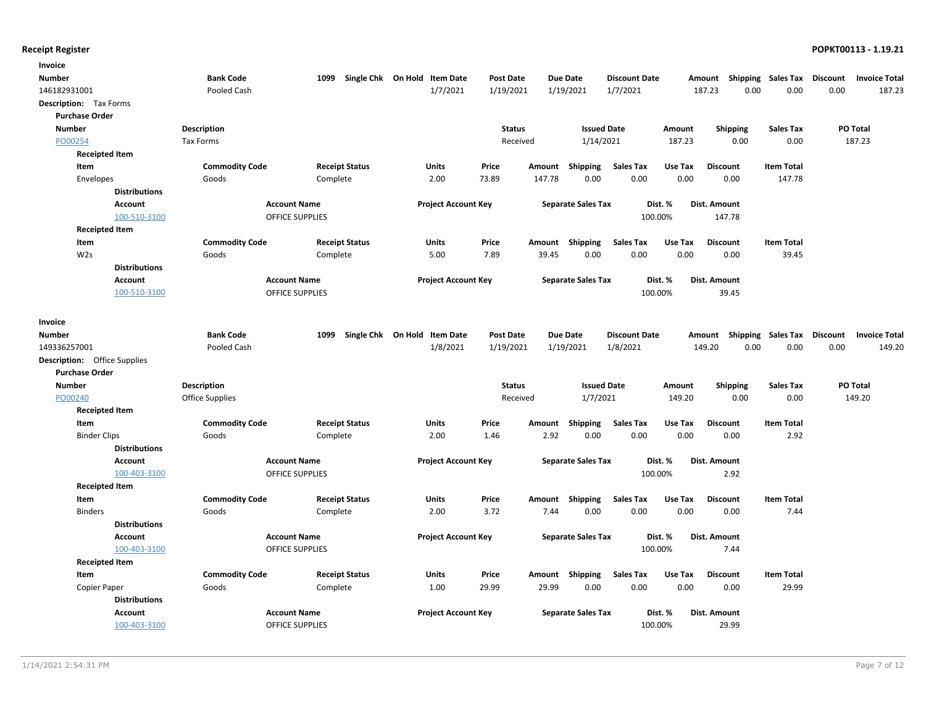| Invoice                       |                       |                        |                                   |                  |        |                           |                      |         |                 |                           |                 |                      |
|-------------------------------|-----------------------|------------------------|-----------------------------------|------------------|--------|---------------------------|----------------------|---------|-----------------|---------------------------|-----------------|----------------------|
| Number                        | <b>Bank Code</b>      |                        | 1099 Single Chk On Hold Item Date | <b>Post Date</b> |        | <b>Due Date</b>           | <b>Discount Date</b> |         | Amount          | <b>Shipping Sales Tax</b> | <b>Discount</b> | <b>Invoice Total</b> |
| 146182931001                  | Pooled Cash           |                        | 1/7/2021                          | 1/19/2021        |        | 1/19/2021                 | 1/7/2021             |         | 187.23<br>0.00  | 0.00                      | 0.00            | 187.23               |
| <b>Description:</b> Tax Forms |                       |                        |                                   |                  |        |                           |                      |         |                 |                           |                 |                      |
| <b>Purchase Order</b>         |                       |                        |                                   |                  |        |                           |                      |         |                 |                           |                 |                      |
| <b>Number</b>                 | <b>Description</b>    |                        |                                   | <b>Status</b>    |        | <b>Issued Date</b>        |                      | Amount  | <b>Shipping</b> | <b>Sales Tax</b>          |                 | PO Total             |
| PO00254                       | Tax Forms             |                        |                                   | Received         |        | 1/14/2021                 |                      | 187.23  | 0.00            | 0.00                      |                 | 187.23               |
| <b>Receipted Item</b>         |                       |                        |                                   |                  |        |                           |                      |         |                 |                           |                 |                      |
| Item                          | <b>Commodity Code</b> | <b>Receipt Status</b>  | Units                             | Price            | Amount | Shipping                  | <b>Sales Tax</b>     | Use Tax | <b>Discount</b> | <b>Item Total</b>         |                 |                      |
| Envelopes                     | Goods                 | Complete               | 2.00                              | 73.89            | 147.78 | 0.00                      | 0.00                 | 0.00    | 0.00            | 147.78                    |                 |                      |
| <b>Distributions</b>          |                       |                        |                                   |                  |        |                           |                      |         |                 |                           |                 |                      |
| Account                       |                       | <b>Account Name</b>    | <b>Project Account Key</b>        |                  |        | <b>Separate Sales Tax</b> |                      | Dist. % | Dist. Amount    |                           |                 |                      |
| 100-510-3100                  |                       | <b>OFFICE SUPPLIES</b> |                                   |                  |        |                           | 100.00%              |         | 147.78          |                           |                 |                      |
| <b>Receipted Item</b>         |                       |                        |                                   |                  |        |                           |                      |         |                 |                           |                 |                      |
| Item                          | <b>Commodity Code</b> | <b>Receipt Status</b>  | Units                             | Price            | Amount | Shipping                  | <b>Sales Tax</b>     | Use Tax | <b>Discount</b> | <b>Item Total</b>         |                 |                      |
| W <sub>2s</sub>               | Goods                 | Complete               | 5.00                              | 7.89             | 39.45  | 0.00                      | 0.00                 | 0.00    | 0.00            | 39.45                     |                 |                      |
| <b>Distributions</b>          |                       |                        |                                   |                  |        |                           |                      |         |                 |                           |                 |                      |
| <b>Account</b>                |                       | <b>Account Name</b>    | <b>Project Account Key</b>        |                  |        | <b>Separate Sales Tax</b> |                      | Dist. % | Dist. Amount    |                           |                 |                      |
| 100-510-3100                  |                       | <b>OFFICE SUPPLIES</b> |                                   |                  |        |                           | 100.00%              |         | 39.45           |                           |                 |                      |
| Invoice                       |                       |                        |                                   |                  |        |                           |                      |         |                 |                           |                 |                      |
| Number                        | <b>Bank Code</b>      | 1099                   | Single Chk On Hold Item Date      | <b>Post Date</b> |        | <b>Due Date</b>           | <b>Discount Date</b> |         | Amount          | <b>Shipping Sales Tax</b> | <b>Discount</b> | <b>Invoice Total</b> |
| 149336257001                  | Pooled Cash           |                        | 1/8/2021                          | 1/19/2021        |        | 1/19/2021                 | 1/8/2021             |         | 0.00<br>149.20  | 0.00                      | 0.00            | 149.20               |
| Description: Office Supplies  |                       |                        |                                   |                  |        |                           |                      |         |                 |                           |                 |                      |
| <b>Purchase Order</b>         |                       |                        |                                   |                  |        |                           |                      |         |                 |                           |                 |                      |
| <b>Number</b>                 | Description           |                        |                                   | <b>Status</b>    |        | <b>Issued Date</b>        |                      | Amount  | <b>Shipping</b> | <b>Sales Tax</b>          |                 | <b>PO Total</b>      |
| PO00240                       | Office Supplies       |                        |                                   | Received         |        | 1/7/2021                  |                      | 149.20  | 0.00            | 0.00                      |                 | 149.20               |
| <b>Receipted Item</b>         |                       |                        |                                   |                  |        |                           |                      |         |                 |                           |                 |                      |
| Item                          | <b>Commodity Code</b> | <b>Receipt Status</b>  | Units                             | Price            | Amount | Shipping                  | <b>Sales Tax</b>     | Use Tax | <b>Discount</b> | <b>Item Total</b>         |                 |                      |
| <b>Binder Clips</b>           | Goods                 | Complete               | 2.00                              | 1.46             | 2.92   | 0.00                      | 0.00                 | 0.00    | 0.00            | 2.92                      |                 |                      |
| <b>Distributions</b>          |                       |                        |                                   |                  |        |                           |                      |         |                 |                           |                 |                      |
| Account                       |                       | <b>Account Name</b>    | <b>Project Account Key</b>        |                  |        | <b>Separate Sales Tax</b> |                      | Dist. % | Dist. Amount    |                           |                 |                      |
| 100-403-3100                  |                       | <b>OFFICE SUPPLIES</b> |                                   |                  |        |                           | 100.00%              |         | 2.92            |                           |                 |                      |
| <b>Receipted Item</b>         |                       |                        |                                   |                  |        |                           |                      |         |                 |                           |                 |                      |
| Item                          | <b>Commodity Code</b> | <b>Receipt Status</b>  | Units                             | Price            | Amount | <b>Shipping</b>           | <b>Sales Tax</b>     | Use Tax | <b>Discount</b> | <b>Item Total</b>         |                 |                      |
| <b>Binders</b>                | Goods                 | Complete               | 2.00                              | 3.72             | 7.44   | 0.00                      | 0.00                 | 0.00    | 0.00            | 7.44                      |                 |                      |
| <b>Distributions</b>          |                       |                        |                                   |                  |        |                           |                      |         |                 |                           |                 |                      |
| Account                       |                       | <b>Account Name</b>    | <b>Project Account Key</b>        |                  |        | <b>Separate Sales Tax</b> |                      | Dist. % | Dist. Amount    |                           |                 |                      |
| 100-403-3100                  |                       | OFFICE SUPPLIES        |                                   |                  |        |                           | 100.00%              |         | 7.44            |                           |                 |                      |
| <b>Receipted Item</b>         |                       |                        |                                   |                  |        |                           |                      |         |                 |                           |                 |                      |
| Item                          | <b>Commodity Code</b> | <b>Receipt Status</b>  | Units                             | Price            |        | Amount Shipping           | <b>Sales Tax</b>     | Use Tax | <b>Discount</b> | <b>Item Total</b>         |                 |                      |
| Copier Paper                  | Goods                 | Complete               | 1.00                              | 29.99            | 29.99  | 0.00                      | 0.00                 | 0.00    | 0.00            | 29.99                     |                 |                      |
| <b>Distributions</b>          |                       |                        |                                   |                  |        |                           |                      |         |                 |                           |                 |                      |
| <b>Account</b>                |                       | <b>Account Name</b>    | <b>Project Account Key</b>        |                  |        | <b>Separate Sales Tax</b> |                      | Dist. % | Dist. Amount    |                           |                 |                      |
| 100-403-3100                  |                       | <b>OFFICE SUPPLIES</b> |                                   |                  |        |                           | 100.00%              |         | 29.99           |                           |                 |                      |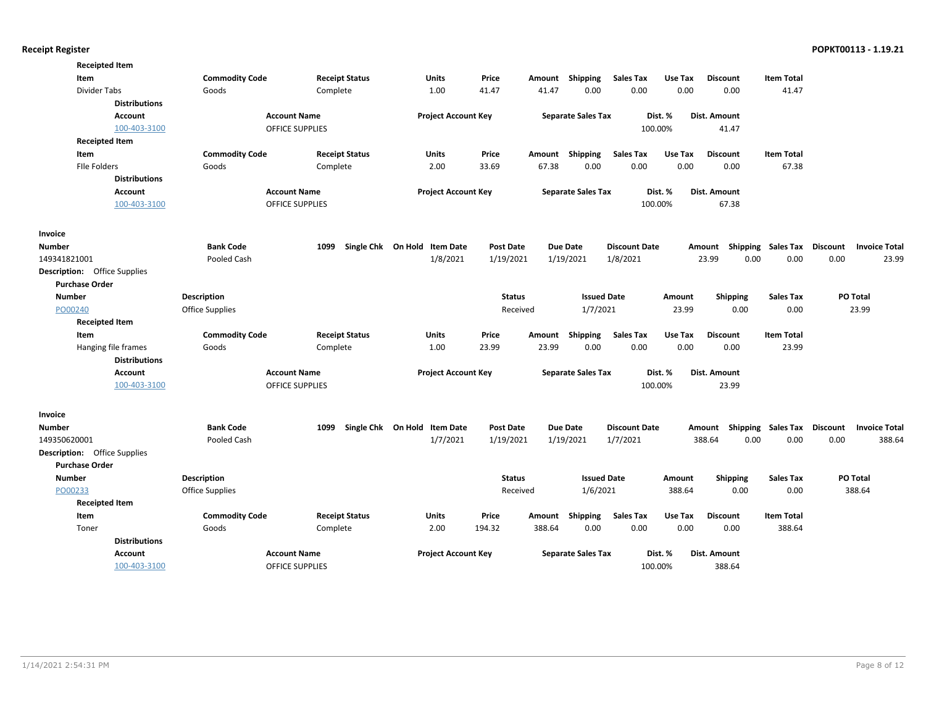| <b>Receipted Item</b>               |                       |                        |                              |                  |                 |                           |                      |         |                           |                   |                 |                      |
|-------------------------------------|-----------------------|------------------------|------------------------------|------------------|-----------------|---------------------------|----------------------|---------|---------------------------|-------------------|-----------------|----------------------|
| Item                                | <b>Commodity Code</b> | <b>Receipt Status</b>  | Units                        | Price            | Amount Shipping |                           | <b>Sales Tax</b>     | Use Tax | <b>Discount</b>           | <b>Item Total</b> |                 |                      |
| Divider Tabs                        | Goods                 | Complete               | 1.00                         | 41.47            | 41.47           | 0.00                      | 0.00                 | 0.00    | 0.00                      | 41.47             |                 |                      |
| <b>Distributions</b>                |                       |                        |                              |                  |                 |                           |                      |         |                           |                   |                 |                      |
| <b>Account</b>                      |                       | <b>Account Name</b>    | <b>Project Account Key</b>   |                  |                 | <b>Separate Sales Tax</b> | Dist. %              |         | Dist. Amount              |                   |                 |                      |
| 100-403-3100                        |                       | <b>OFFICE SUPPLIES</b> |                              |                  |                 |                           | 100.00%              |         | 41.47                     |                   |                 |                      |
| <b>Receipted Item</b>               |                       |                        |                              |                  |                 |                           |                      |         |                           |                   |                 |                      |
| Item                                | <b>Commodity Code</b> | <b>Receipt Status</b>  | <b>Units</b>                 | Price            | Amount Shipping |                           | <b>Sales Tax</b>     | Use Tax | <b>Discount</b>           | <b>Item Total</b> |                 |                      |
| File Folders                        | Goods                 | Complete               | 2.00                         | 33.69            | 67.38           | 0.00                      | 0.00                 | 0.00    | 0.00                      | 67.38             |                 |                      |
| <b>Distributions</b>                |                       |                        |                              |                  |                 |                           |                      |         |                           |                   |                 |                      |
| <b>Account</b>                      |                       | <b>Account Name</b>    | <b>Project Account Key</b>   |                  |                 | <b>Separate Sales Tax</b> | Dist. %              |         | Dist. Amount              |                   |                 |                      |
| 100-403-3100                        |                       | OFFICE SUPPLIES        |                              |                  |                 |                           | 100.00%              |         | 67.38                     |                   |                 |                      |
| Invoice                             |                       |                        |                              |                  |                 |                           |                      |         |                           |                   |                 |                      |
| <b>Number</b>                       | <b>Bank Code</b>      | 1099                   | Single Chk On Hold Item Date | <b>Post Date</b> | <b>Due Date</b> |                           | <b>Discount Date</b> |         | Amount Shipping           | Sales Tax         | <b>Discount</b> | <b>Invoice Total</b> |
| 149341821001                        | Pooled Cash           |                        | 1/8/2021                     | 1/19/2021        | 1/19/2021       |                           | 1/8/2021             |         | 23.99<br>0.00             | 0.00              | 0.00            | 23.99                |
| <b>Description:</b> Office Supplies |                       |                        |                              |                  |                 |                           |                      |         |                           |                   |                 |                      |
| <b>Purchase Order</b>               |                       |                        |                              |                  |                 |                           |                      |         |                           |                   |                 |                      |
| <b>Number</b>                       | Description           |                        |                              | <b>Status</b>    |                 | <b>Issued Date</b>        |                      | Amount  | <b>Shipping</b>           | <b>Sales Tax</b>  |                 | PO Total             |
| PO00240                             | Office Supplies       |                        |                              | Received         |                 | 1/7/2021                  |                      | 23.99   | 0.00                      | 0.00              |                 | 23.99                |
| <b>Receipted Item</b>               |                       |                        |                              |                  |                 |                           |                      |         |                           |                   |                 |                      |
| Item                                | <b>Commodity Code</b> | <b>Receipt Status</b>  | <b>Units</b>                 | Price            | Amount          | Shipping                  | <b>Sales Tax</b>     | Use Tax | <b>Discount</b>           | <b>Item Total</b> |                 |                      |
| Hanging file frames                 | Goods                 | Complete               | 1.00                         | 23.99            | 23.99           | 0.00                      | 0.00                 | 0.00    | 0.00                      | 23.99             |                 |                      |
| <b>Distributions</b>                |                       |                        |                              |                  |                 |                           |                      |         |                           |                   |                 |                      |
| Account                             |                       | <b>Account Name</b>    | <b>Project Account Key</b>   |                  |                 | <b>Separate Sales Tax</b> | Dist. %              |         | Dist. Amount              |                   |                 |                      |
| 100-403-3100                        |                       | <b>OFFICE SUPPLIES</b> |                              |                  |                 |                           | 100.00%              |         | 23.99                     |                   |                 |                      |
| Invoice                             |                       |                        |                              |                  |                 |                           |                      |         |                           |                   |                 |                      |
| Number                              | <b>Bank Code</b>      | 1099                   | Single Chk On Hold Item Date | <b>Post Date</b> | <b>Due Date</b> |                           | <b>Discount Date</b> |         | Amount Shipping Sales Tax |                   | Discount        | <b>Invoice Total</b> |
| 149350620001                        | Pooled Cash           |                        | 1/7/2021                     | 1/19/2021        | 1/19/2021       |                           | 1/7/2021             |         | 388.64<br>0.00            | 0.00              | 0.00            | 388.64               |
| <b>Description:</b> Office Supplies |                       |                        |                              |                  |                 |                           |                      |         |                           |                   |                 |                      |
| <b>Purchase Order</b>               |                       |                        |                              |                  |                 |                           |                      |         |                           |                   |                 |                      |
| <b>Number</b>                       | Description           |                        |                              | <b>Status</b>    |                 | <b>Issued Date</b>        |                      | Amount  | Shipping                  | <b>Sales Tax</b>  |                 | PO Total             |
| PO00233                             | Office Supplies       |                        |                              | Received         |                 | 1/6/2021                  |                      | 388.64  | 0.00                      | 0.00              |                 | 388.64               |
| <b>Receipted Item</b>               |                       |                        |                              |                  |                 |                           |                      |         |                           |                   |                 |                      |
| Item                                | <b>Commodity Code</b> | <b>Receipt Status</b>  | Units                        | Price            | Amount          | Shipping                  | <b>Sales Tax</b>     | Use Tax | <b>Discount</b>           | <b>Item Total</b> |                 |                      |
| Toner                               | Goods                 | Complete               | 2.00                         | 194.32           | 388.64          | 0.00                      | 0.00                 | 0.00    | 0.00                      | 388.64            |                 |                      |
| <b>Distributions</b>                |                       |                        |                              |                  |                 |                           |                      |         |                           |                   |                 |                      |
| <b>Account</b>                      |                       | <b>Account Name</b>    | <b>Project Account Key</b>   |                  |                 | <b>Separate Sales Tax</b> | Dist. %              |         | Dist. Amount              |                   |                 |                      |
| 100-403-3100                        |                       | <b>OFFICE SUPPLIES</b> |                              |                  |                 |                           | 100.00%              |         | 388.64                    |                   |                 |                      |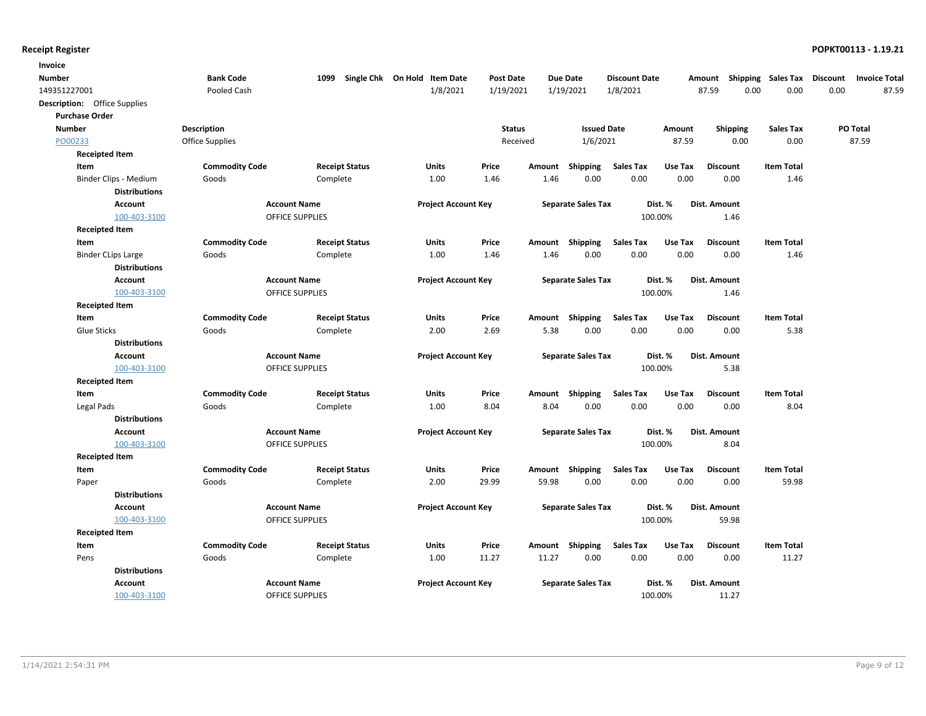| Invoice                             |                        |                        |                              |                            |               |        |                           |                      |         |                 |                           |                 |                      |
|-------------------------------------|------------------------|------------------------|------------------------------|----------------------------|---------------|--------|---------------------------|----------------------|---------|-----------------|---------------------------|-----------------|----------------------|
| Number                              | <b>Bank Code</b>       | 1099                   | Single Chk On Hold Item Date |                            | Post Date     |        | Due Date                  | <b>Discount Date</b> |         | Amount          | <b>Shipping Sales Tax</b> | <b>Discount</b> | <b>Invoice Total</b> |
| 149351227001                        | Pooled Cash            |                        |                              | 1/8/2021                   | 1/19/2021     |        | 1/19/2021                 | 1/8/2021             |         | 87.59           | 0.00<br>0.00              | 0.00            | 87.59                |
| <b>Description:</b> Office Supplies |                        |                        |                              |                            |               |        |                           |                      |         |                 |                           |                 |                      |
| <b>Purchase Order</b>               |                        |                        |                              |                            |               |        |                           |                      |         |                 |                           |                 |                      |
| <b>Number</b>                       | <b>Description</b>     |                        |                              |                            | <b>Status</b> |        | <b>Issued Date</b>        |                      | Amount  | <b>Shipping</b> | <b>Sales Tax</b>          | <b>PO Total</b> |                      |
| PO00233                             | <b>Office Supplies</b> |                        |                              |                            | Received      |        | 1/6/2021                  |                      | 87.59   | 0.00            | 0.00                      |                 | 87.59                |
| <b>Receipted Item</b>               |                        |                        |                              |                            |               |        |                           |                      |         |                 |                           |                 |                      |
| Item                                | <b>Commodity Code</b>  |                        | <b>Receipt Status</b>        | <b>Units</b>               | Price         | Amount | Shipping                  | <b>Sales Tax</b>     | Use Tax | <b>Discount</b> | <b>Item Total</b>         |                 |                      |
| Binder Clips - Medium               | Goods                  | Complete               |                              | 1.00                       | 1.46          | 1.46   | 0.00                      | 0.00                 | 0.00    | 0.00            | 1.46                      |                 |                      |
|                                     | <b>Distributions</b>   |                        |                              |                            |               |        |                           |                      |         |                 |                           |                 |                      |
|                                     | Account                | <b>Account Name</b>    |                              | <b>Project Account Key</b> |               |        | <b>Separate Sales Tax</b> |                      | Dist. % | Dist. Amount    |                           |                 |                      |
|                                     | 100-403-3100           | <b>OFFICE SUPPLIES</b> |                              |                            |               |        |                           | 100.00%              |         | 1.46            |                           |                 |                      |
| <b>Receipted Item</b>               |                        |                        |                              |                            |               |        |                           |                      |         |                 |                           |                 |                      |
| Item                                | <b>Commodity Code</b>  |                        | <b>Receipt Status</b>        | Units                      | Price         |        | Amount Shipping           | <b>Sales Tax</b>     | Use Tax | <b>Discount</b> | <b>Item Total</b>         |                 |                      |
| <b>Binder CLips Large</b>           | Goods                  | Complete               |                              | 1.00                       | 1.46          | 1.46   | 0.00                      | 0.00                 | 0.00    | 0.00            | 1.46                      |                 |                      |
|                                     | <b>Distributions</b>   |                        |                              |                            |               |        |                           |                      |         |                 |                           |                 |                      |
|                                     | Account                | <b>Account Name</b>    |                              | <b>Project Account Key</b> |               |        | <b>Separate Sales Tax</b> |                      | Dist. % | Dist. Amount    |                           |                 |                      |
|                                     | 100-403-3100           | <b>OFFICE SUPPLIES</b> |                              |                            |               |        |                           | 100.00%              |         | 1.46            |                           |                 |                      |
| <b>Receipted Item</b>               |                        |                        |                              |                            |               |        |                           |                      |         |                 |                           |                 |                      |
| Item                                | <b>Commodity Code</b>  |                        | <b>Receipt Status</b>        | Units                      | Price         |        | Amount Shipping           | <b>Sales Tax</b>     | Use Tax | <b>Discount</b> | <b>Item Total</b>         |                 |                      |
| Glue Sticks                         | Goods                  | Complete               |                              | 2.00                       | 2.69          | 5.38   | 0.00                      | 0.00                 | 0.00    | 0.00            | 5.38                      |                 |                      |
|                                     | <b>Distributions</b>   |                        |                              |                            |               |        |                           |                      |         |                 |                           |                 |                      |
|                                     | Account                | <b>Account Name</b>    |                              | <b>Project Account Key</b> |               |        | <b>Separate Sales Tax</b> |                      | Dist. % | Dist. Amount    |                           |                 |                      |
|                                     | 100-403-3100           | OFFICE SUPPLIES        |                              |                            |               |        |                           | 100.00%              |         | 5.38            |                           |                 |                      |
| <b>Receipted Item</b>               |                        |                        |                              |                            |               |        |                           |                      |         |                 |                           |                 |                      |
| Item                                | <b>Commodity Code</b>  |                        | <b>Receipt Status</b>        | <b>Units</b>               | Price         |        | Amount Shipping           | <b>Sales Tax</b>     | Use Tax | <b>Discount</b> | <b>Item Total</b>         |                 |                      |
| Legal Pads                          | Goods                  | Complete               |                              | 1.00                       | 8.04          | 8.04   | 0.00                      | 0.00                 | 0.00    | 0.00            | 8.04                      |                 |                      |
|                                     | <b>Distributions</b>   |                        |                              |                            |               |        |                           |                      |         |                 |                           |                 |                      |
|                                     | Account                | <b>Account Name</b>    |                              | <b>Project Account Key</b> |               |        | <b>Separate Sales Tax</b> |                      | Dist. % | Dist. Amount    |                           |                 |                      |
|                                     | 100-403-3100           | <b>OFFICE SUPPLIES</b> |                              |                            |               |        |                           | 100.00%              |         | 8.04            |                           |                 |                      |
| <b>Receipted Item</b>               |                        |                        |                              |                            |               |        |                           |                      |         |                 |                           |                 |                      |
| Item                                | <b>Commodity Code</b>  |                        | <b>Receipt Status</b>        | Units                      | Price         |        | Amount Shipping           | <b>Sales Tax</b>     | Use Tax | <b>Discount</b> | <b>Item Total</b>         |                 |                      |
| Paper                               | Goods                  | Complete               |                              | 2.00                       | 29.99         | 59.98  | 0.00                      | 0.00                 | 0.00    | 0.00            | 59.98                     |                 |                      |
|                                     | <b>Distributions</b>   |                        |                              |                            |               |        |                           |                      |         |                 |                           |                 |                      |
|                                     | Account                | <b>Account Name</b>    |                              | <b>Project Account Key</b> |               |        | <b>Separate Sales Tax</b> |                      | Dist. % | Dist. Amount    |                           |                 |                      |
|                                     | 100-403-3100           | <b>OFFICE SUPPLIES</b> |                              |                            |               |        |                           | 100.00%              |         | 59.98           |                           |                 |                      |
| <b>Receipted Item</b>               |                        |                        |                              |                            |               |        |                           |                      |         |                 |                           |                 |                      |
| Item                                | <b>Commodity Code</b>  |                        | <b>Receipt Status</b>        | Units                      | Price         |        | Amount Shipping           | <b>Sales Tax</b>     | Use Tax | <b>Discount</b> | <b>Item Total</b>         |                 |                      |
| Pens                                | Goods                  | Complete               |                              | 1.00                       | 11.27         | 11.27  | 0.00                      | 0.00                 | 0.00    | 0.00            | 11.27                     |                 |                      |
|                                     | <b>Distributions</b>   |                        |                              |                            |               |        |                           |                      |         |                 |                           |                 |                      |
|                                     | Account                | <b>Account Name</b>    |                              | <b>Project Account Key</b> |               |        | <b>Separate Sales Tax</b> |                      | Dist. % | Dist. Amount    |                           |                 |                      |
|                                     | 100-403-3100           | <b>OFFICE SUPPLIES</b> |                              |                            |               |        |                           | 100.00%              |         | 11.27           |                           |                 |                      |
|                                     |                        |                        |                              |                            |               |        |                           |                      |         |                 |                           |                 |                      |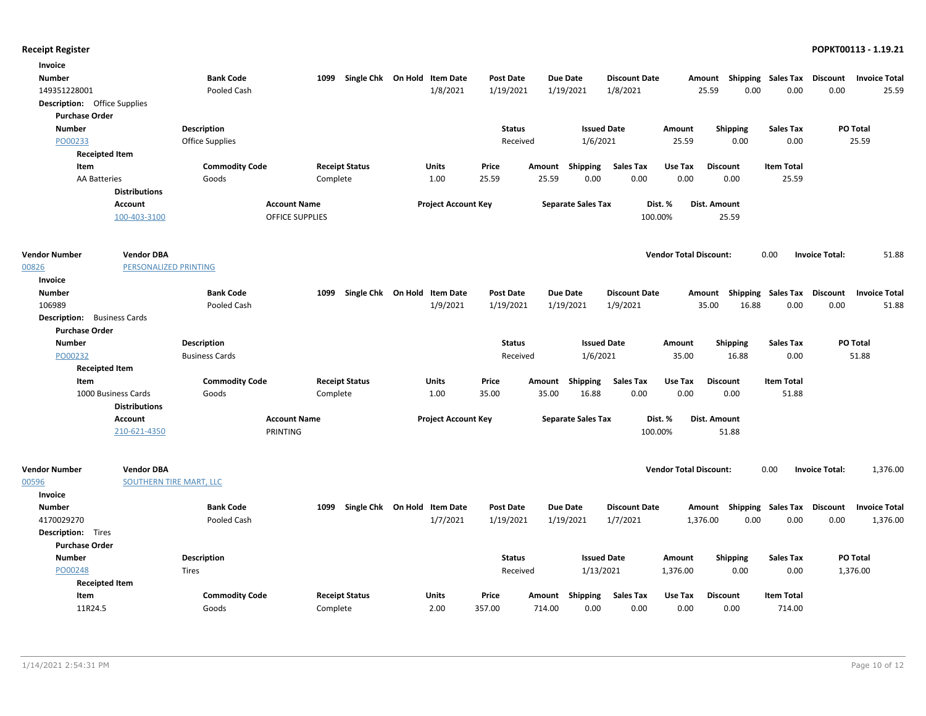| Invoice                             |                                |                        |                        |                              |                            |                  |                 |                           |                      |                               |                           |                   |                       |                      |
|-------------------------------------|--------------------------------|------------------------|------------------------|------------------------------|----------------------------|------------------|-----------------|---------------------------|----------------------|-------------------------------|---------------------------|-------------------|-----------------------|----------------------|
| <b>Number</b>                       |                                | <b>Bank Code</b>       | 1099                   | Single Chk On Hold Item Date |                            | <b>Post Date</b> | <b>Due Date</b> |                           | <b>Discount Date</b> |                               | Amount Shipping Sales Tax |                   | Discount              | <b>Invoice Total</b> |
| 149351228001                        |                                | Pooled Cash            |                        |                              | 1/8/2021                   | 1/19/2021        | 1/19/2021       |                           | 1/8/2021             |                               | 25.59<br>0.00             | 0.00              | 0.00                  | 25.59                |
| <b>Description:</b> Office Supplies |                                |                        |                        |                              |                            |                  |                 |                           |                      |                               |                           |                   |                       |                      |
| <b>Purchase Order</b>               |                                |                        |                        |                              |                            |                  |                 |                           |                      |                               |                           |                   |                       |                      |
| <b>Number</b>                       |                                | <b>Description</b>     |                        |                              |                            | <b>Status</b>    |                 | <b>Issued Date</b>        |                      | Amount                        | <b>Shipping</b>           | <b>Sales Tax</b>  |                       | PO Total             |
| PO00233                             |                                | <b>Office Supplies</b> |                        |                              |                            | Received         |                 | 1/6/2021                  |                      | 25.59                         | 0.00                      | 0.00              |                       | 25.59                |
| <b>Receipted Item</b>               |                                |                        |                        |                              |                            |                  |                 |                           |                      |                               |                           |                   |                       |                      |
| Item                                |                                | <b>Commodity Code</b>  | <b>Receipt Status</b>  |                              | <b>Units</b>               | Price            | Amount          | Shipping                  | <b>Sales Tax</b>     | Use Tax                       | <b>Discount</b>           | <b>Item Total</b> |                       |                      |
| <b>AA Batteries</b>                 |                                | Goods                  | Complete               |                              | 1.00                       | 25.59            | 25.59           | 0.00                      | 0.00                 | 0.00                          | 0.00                      | 25.59             |                       |                      |
|                                     | <b>Distributions</b>           |                        |                        |                              |                            |                  |                 |                           |                      |                               |                           |                   |                       |                      |
|                                     | <b>Account</b>                 |                        | <b>Account Name</b>    |                              | <b>Project Account Key</b> |                  |                 | <b>Separate Sales Tax</b> |                      | Dist. %                       | Dist. Amount              |                   |                       |                      |
|                                     | 100-403-3100                   |                        | <b>OFFICE SUPPLIES</b> |                              |                            |                  |                 |                           | 100.00%              |                               | 25.59                     |                   |                       |                      |
|                                     |                                |                        |                        |                              |                            |                  |                 |                           |                      |                               |                           |                   |                       |                      |
| <b>Vendor Number</b>                | <b>Vendor DBA</b>              |                        |                        |                              |                            |                  |                 |                           |                      | <b>Vendor Total Discount:</b> |                           | 0.00              | <b>Invoice Total:</b> | 51.88                |
| 00826                               | PERSONALIZED PRINTING          |                        |                        |                              |                            |                  |                 |                           |                      |                               |                           |                   |                       |                      |
| Invoice                             |                                |                        |                        |                              |                            |                  |                 |                           |                      |                               |                           |                   |                       |                      |
| <b>Number</b>                       |                                | <b>Bank Code</b>       | 1099                   | Single Chk On Hold Item Date |                            | <b>Post Date</b> | <b>Due Date</b> |                           | <b>Discount Date</b> |                               | Amount Shipping Sales Tax |                   | <b>Discount</b>       | <b>Invoice Total</b> |
| 106989                              |                                | Pooled Cash            |                        |                              | 1/9/2021                   | 1/19/2021        | 1/19/2021       |                           | 1/9/2021             |                               | 35.00<br>16.88            | 0.00              | 0.00                  | 51.88                |
| <b>Description:</b> Business Cards  |                                |                        |                        |                              |                            |                  |                 |                           |                      |                               |                           |                   |                       |                      |
| <b>Purchase Order</b>               |                                |                        |                        |                              |                            |                  |                 |                           |                      |                               |                           |                   |                       |                      |
| <b>Number</b>                       |                                | <b>Description</b>     |                        |                              |                            | <b>Status</b>    |                 | <b>Issued Date</b>        |                      | Amount                        | <b>Shipping</b>           | <b>Sales Tax</b>  |                       | PO Total             |
| PO00232                             |                                | <b>Business Cards</b>  |                        |                              |                            | Received         |                 | 1/6/2021                  |                      | 35.00                         | 16.88                     | 0.00              |                       | 51.88                |
| <b>Receipted Item</b>               |                                |                        |                        |                              |                            |                  |                 |                           |                      |                               |                           |                   |                       |                      |
| Item                                |                                | <b>Commodity Code</b>  | <b>Receipt Status</b>  |                              | Units                      | Price            | Amount          | Shipping                  | <b>Sales Tax</b>     | Use Tax                       | <b>Discount</b>           | <b>Item Total</b> |                       |                      |
| 1000 Business Cards                 |                                | Goods                  | Complete               |                              | 1.00                       | 35.00            | 35.00           | 16.88                     | 0.00                 | 0.00                          | 0.00                      | 51.88             |                       |                      |
|                                     | <b>Distributions</b>           |                        |                        |                              |                            |                  |                 |                           |                      |                               |                           |                   |                       |                      |
|                                     | <b>Account</b>                 |                        | <b>Account Name</b>    |                              | <b>Project Account Key</b> |                  |                 | <b>Separate Sales Tax</b> |                      | Dist. %                       | Dist. Amount              |                   |                       |                      |
|                                     | 210-621-4350                   |                        | PRINTING               |                              |                            |                  |                 |                           | 100.00%              |                               | 51.88                     |                   |                       |                      |
| <b>Vendor Number</b>                | <b>Vendor DBA</b>              |                        |                        |                              |                            |                  |                 |                           |                      | <b>Vendor Total Discount:</b> |                           | 0.00              | <b>Invoice Total:</b> | 1,376.00             |
| 00596                               | <b>SOUTHERN TIRE MART, LLC</b> |                        |                        |                              |                            |                  |                 |                           |                      |                               |                           |                   |                       |                      |
| Invoice                             |                                |                        |                        |                              |                            |                  |                 |                           |                      |                               |                           |                   |                       |                      |
| <b>Number</b>                       |                                | <b>Bank Code</b>       | 1099                   | Single Chk On Hold Item Date |                            | <b>Post Date</b> | <b>Due Date</b> |                           | <b>Discount Date</b> |                               | Shipping<br>Amount        | Sales Tax         | <b>Discount</b>       | <b>Invoice Total</b> |
| 4170029270                          |                                | Pooled Cash            |                        |                              | 1/7/2021                   | 1/19/2021        | 1/19/2021       |                           | 1/7/2021             | 1,376.00                      | 0.00                      | 0.00              | 0.00                  | 1,376.00             |
| <b>Description:</b> Tires           |                                |                        |                        |                              |                            |                  |                 |                           |                      |                               |                           |                   |                       |                      |
| <b>Purchase Order</b>               |                                |                        |                        |                              |                            |                  |                 |                           |                      |                               |                           |                   |                       |                      |
| <b>Number</b>                       |                                | Description            |                        |                              |                            | <b>Status</b>    |                 | <b>Issued Date</b>        |                      | Amount                        | <b>Shipping</b>           | <b>Sales Tax</b>  |                       | PO Total             |
| PO00248                             |                                | Tires                  |                        |                              |                            | Received         |                 | 1/13/2021                 |                      | 1,376.00                      | 0.00                      | 0.00              |                       | 1,376.00             |
| <b>Receipted Item</b>               |                                |                        |                        |                              |                            |                  |                 |                           |                      |                               |                           |                   |                       |                      |
| Item                                |                                | <b>Commodity Code</b>  | <b>Receipt Status</b>  |                              | <b>Units</b>               | Price            | Amount          | Shipping                  | <b>Sales Tax</b>     | Use Tax                       | <b>Discount</b>           | <b>Item Total</b> |                       |                      |
| 11R24.5                             |                                | Goods                  | Complete               |                              | 2.00                       | 357.00           | 714.00          | 0.00                      | 0.00                 | 0.00                          | 0.00                      | 714.00            |                       |                      |
|                                     |                                |                        |                        |                              |                            |                  |                 |                           |                      |                               |                           |                   |                       |                      |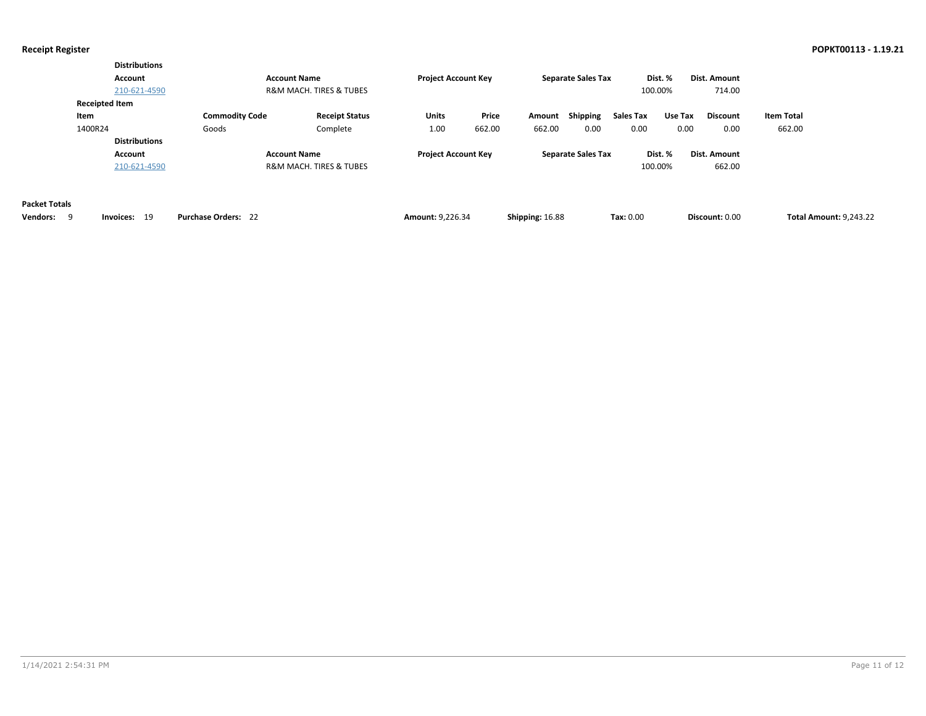|                                         |                                          | <b>Distributions</b><br>Account<br>210-621-4590 |                                | <b>Account Name</b><br><b>R&amp;M MACH. TIRES &amp; TUBES</b> | <b>Project Account Key</b> |                 |                  | <b>Separate Sales Tax</b> | 100.00%                  | Dist. %         | Dist. Amount<br>714.00  |                             |                               |
|-----------------------------------------|------------------------------------------|-------------------------------------------------|--------------------------------|---------------------------------------------------------------|----------------------------|-----------------|------------------|---------------------------|--------------------------|-----------------|-------------------------|-----------------------------|-------------------------------|
|                                         | <b>Receipted Item</b><br>Item<br>1400R24 | <b>Distributions</b>                            | <b>Commodity Code</b><br>Goods | <b>Receipt Status</b><br>Complete                             | Units<br>1.00              | Price<br>662.00 | Amount<br>662.00 | Shipping<br>0.00          | <b>Sales Tax</b><br>0.00 | Use Tax<br>0.00 | <b>Discount</b><br>0.00 | <b>Item Total</b><br>662.00 |                               |
|                                         |                                          | Account<br>210-621-4590                         |                                | <b>Account Name</b><br><b>R&amp;M MACH. TIRES &amp; TUBES</b> | <b>Project Account Key</b> |                 |                  | <b>Separate Sales Tax</b> | 100.00%                  | Dist. %         | Dist. Amount<br>662.00  |                             |                               |
| <b>Packet Totals</b><br><b>Vendors:</b> | 9                                        | 19<br>Invoices:                                 | <b>Purchase Orders: 22</b>     |                                                               | <b>Amount: 9,226.34</b>    |                 | Shipping: 16.88  |                           | Tax: 0.00                |                 | Discount: 0.00          |                             | <b>Total Amount: 9,243.22</b> |